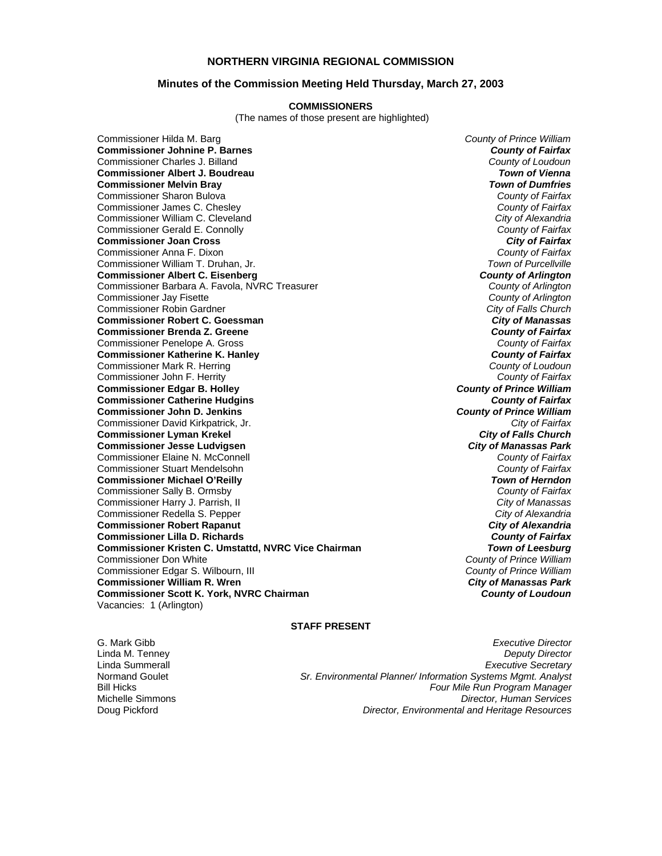## **NORTHERN VIRGINIA REGIONAL COMMISSION**

### **Minutes of the Commission Meeting Held Thursday, March 27, 2003**

#### **COMMISSIONERS**

(The names of those present are highlighted)

Commissioner Hilda M. Barg *County of Prince William* **Commissioner Johnine P. Barnes** *County of Fairfax* Commissioner Charles J. Billand *County of Loudoun* **Commissioner Albert J. Boudreau** *Town of Vienna* **Commissioner Melvin Bray** *Town of Dumfries* Commissioner Sharon Bulova *County of Fairfax* Commissioner James C. Chesley *County of Fairfax* Commissioner William C. Cleveland *City of Alexandria* Commissioner Gerald E. Connolly *County of Fairfax* **Commissioner Joan Cross** *City of Fairfax* Commissioner Anna F. Dixon *County of Fairfax* Commissioner William T. Druhan, Jr. *Town of Purcellville* **Commissioner Albert C. Eisenberg** *County of Arlington* Commissioner Barbara A. Favola, NVRC Treasurer *County of Arlington* Commissioner Jay Fisette *County of Arlington* Commissioner Robin Gardner *City of Falls Church* **Commissioner Robert C. Goessman** *City of Manassas* **Commissioner Brenda Z. Greene** *County of Fairfax* Commissioner Penelope A. Gross *County of Fairfax* **Commissioner Katherine K. Hanley** *County of Fairfax* Commissioner Mark R. Herring *County of Loudoun* Commissioner John F. Herrity *County of Fairfax* **Commissioner Edgar B. Holley** *County of Prince William* **Commissioner Catherine Hudgins** *County of Fairfax* **Commissioner John D. Jenkins** *County of Prince William* Commissioner David Kirkpatrick, Jr. *City of Fairfax* **Commissioner Lyman Krekel** *City of Falls Church* **Commissioner Jesse Ludvigsen** *City of Manassas Park* Commissioner Elaine N. McConnell *County of Fairfax* Commissioner Stuart Mendelsohn *County of Fairfax* **Commissioner Michael O'Reilly** *Town of Herndon* Commissioner Sally B. Ormsby *County of Fairfax* Commissioner Harry J. Parrish, II *City of Manassas* Commissioner Redella S. Pepper *City of Alexandria* **Commissioner Robert Rapanut** *City of Alexandria* **Commissioner Lilla D. Richards** *County of Fairfax* **Commissioner Kristen C. Umstattd, NVRC Vice Chairman** *Town of Leesburg* Commissioner Don White *County of Prince William* Commissioner Edgar S. Wilbourn, III *County of Prince William* **Commissioner William R. Wren** *City of Manassas Park* **Commissioner Scott K. York, NVRC Chairman** *County of Loudoun* Vacancies: 1 (Arlington)

### **STAFF PRESENT**

G. Mark Gibb *Executive Director* Linda M. Tenney *Deputy Director* Linda Summerall *Executive Secretary* Sr. Environmental Planner/ Information Systems Mgmt. Analyst Bill Hicks *Four Mile Run Program Manager* Michelle Simmons *Director, Human Services* Doug Pickford *Director, Environmental and Heritage Resources*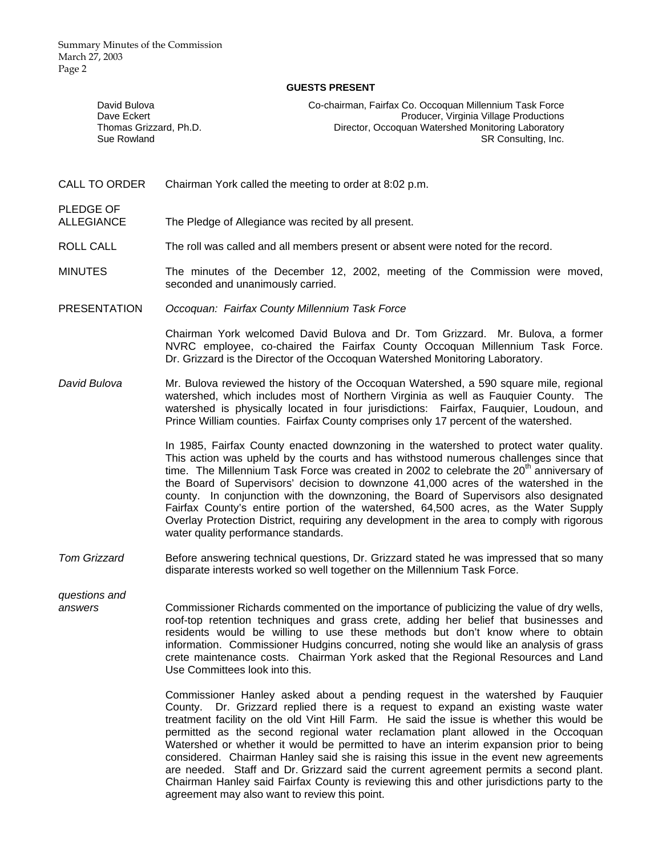Summary Minutes of the Commission March 27, 2003 Page 2

#### **GUESTS PRESENT**

| David Bulova           | Co-chairman, Fairfax Co. Occoquan Millennium Task Force |
|------------------------|---------------------------------------------------------|
| Dave Eckert            | Producer, Virginia Village Productions                  |
| Thomas Grizzard, Ph.D. | Director, Occoguan Watershed Monitoring Laboratory      |
| Sue Rowland            | SR Consulting, Inc.                                     |

CALL TO ORDER Chairman York called the meeting to order at 8:02 p.m.

PLEDGE OF<br>ALLEGIANCE The Pledge of Allegiance was recited by all present.

- ROLL CALL The roll was called and all members present or absent were noted for the record.
- MINUTES The minutes of the December 12, 2002, meeting of the Commission were moved, seconded and unanimously carried.
- PRESENTATION *Occoquan: Fairfax County Millennium Task Force*

 Chairman York welcomed David Bulova and Dr. Tom Grizzard. Mr. Bulova, a former NVRC employee, co-chaired the Fairfax County Occoquan Millennium Task Force. Dr. Grizzard is the Director of the Occoquan Watershed Monitoring Laboratory.

*David Bulova* Mr. Bulova reviewed the history of the Occoquan Watershed, a 590 square mile, regional watershed, which includes most of Northern Virginia as well as Fauquier County. The watershed is physically located in four jurisdictions: Fairfax, Fauquier, Loudoun, and Prince William counties. Fairfax County comprises only 17 percent of the watershed.

> In 1985, Fairfax County enacted downzoning in the watershed to protect water quality. This action was upheld by the courts and has withstood numerous challenges since that time. The Millennium Task Force was created in 2002 to celebrate the  $20<sup>th</sup>$  anniversary of the Board of Supervisors' decision to downzone 41,000 acres of the watershed in the county. In conjunction with the downzoning, the Board of Supervisors also designated Fairfax County's entire portion of the watershed, 64,500 acres, as the Water Supply Overlay Protection District, requiring any development in the area to comply with rigorous water quality performance standards.

*Tom Grizzard* Before answering technical questions, Dr. Grizzard stated he was impressed that so many disparate interests worked so well together on the Millennium Task Force.

*questions and* 

*answers* Commissioner Richards commented on the importance of publicizing the value of dry wells, roof-top retention techniques and grass crete, adding her belief that businesses and residents would be willing to use these methods but don't know where to obtain information. Commissioner Hudgins concurred, noting she would like an analysis of grass crete maintenance costs. Chairman York asked that the Regional Resources and Land Use Committees look into this.

> Commissioner Hanley asked about a pending request in the watershed by Fauquier County. Dr. Grizzard replied there is a request to expand an existing waste water treatment facility on the old Vint Hill Farm. He said the issue is whether this would be permitted as the second regional water reclamation plant allowed in the Occoquan Watershed or whether it would be permitted to have an interim expansion prior to being considered. Chairman Hanley said she is raising this issue in the event new agreements are needed. Staff and Dr. Grizzard said the current agreement permits a second plant. Chairman Hanley said Fairfax County is reviewing this and other jurisdictions party to the agreement may also want to review this point.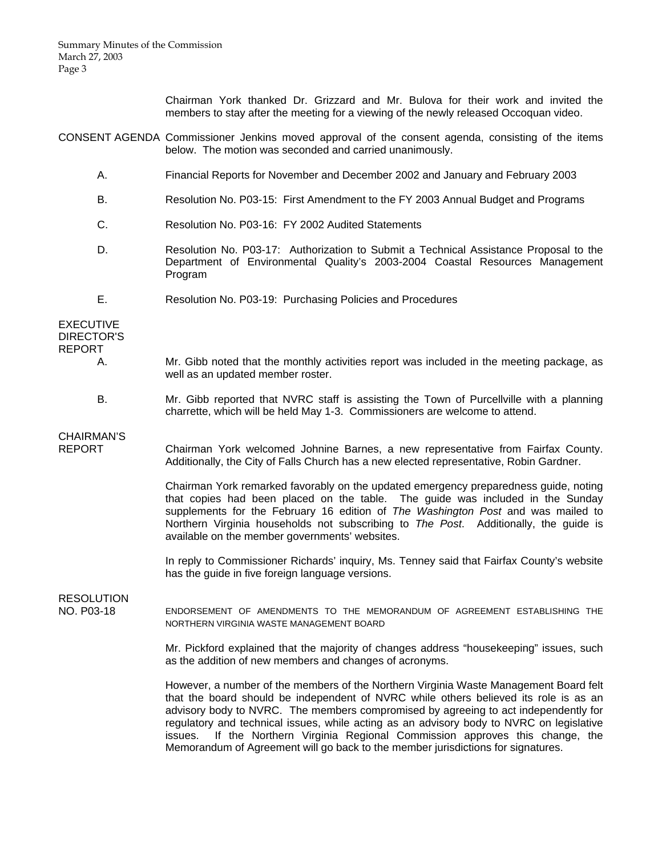Chairman York thanked Dr. Grizzard and Mr. Bulova for their work and invited the members to stay after the meeting for a viewing of the newly released Occoquan video.

CONSENT AGENDA Commissioner Jenkins moved approval of the consent agenda, consisting of the items below. The motion was seconded and carried unanimously.

- A. Financial Reports for November and December 2002 and January and February 2003
- B. Resolution No. P03-15: First Amendment to the FY 2003 Annual Budget and Programs
- C. Resolution No. P03-16: FY 2002 Audited Statements
- D. Resolution No. P03-17: Authorization to Submit a Technical Assistance Proposal to the Department of Environmental Quality's 2003-2004 Coastal Resources Management Program
- E. Resolution No. P03-19: Purchasing Policies and Procedures

EXECUTIVE DIRECTOR'S REPORT

- A. Mr. Gibb noted that the monthly activities report was included in the meeting package, as well as an updated member roster.
- B. Mr. Gibb reported that NVRC staff is assisting the Town of Purcellville with a planning charrette, which will be held May 1-3. Commissioners are welcome to attend.

# CHAIRMAN'S

REPORT Chairman York welcomed Johnine Barnes, a new representative from Fairfax County. Additionally, the City of Falls Church has a new elected representative, Robin Gardner.

> Chairman York remarked favorably on the updated emergency preparedness guide, noting that copies had been placed on the table. The guide was included in the Sunday supplements for the February 16 edition of *The Washington Post* and was mailed to Northern Virginia households not subscribing to *The Post*. Additionally, the guide is available on the member governments' websites.

> In reply to Commissioner Richards' inquiry, Ms. Tenney said that Fairfax County's website has the guide in five foreign language versions.

# RESOLUTION

NO. P03-18 ENDORSEMENT OF AMENDMENTS TO THE MEMORANDUM OF AGREEMENT ESTABLISHING THE NORTHERN VIRGINIA WASTE MANAGEMENT BOARD

> Mr. Pickford explained that the majority of changes address "housekeeping" issues, such as the addition of new members and changes of acronyms.

> However, a number of the members of the Northern Virginia Waste Management Board felt that the board should be independent of NVRC while others believed its role is as an advisory body to NVRC. The members compromised by agreeing to act independently for regulatory and technical issues, while acting as an advisory body to NVRC on legislative issues. If the Northern Virginia Regional Commission approves this change, the Memorandum of Agreement will go back to the member jurisdictions for signatures.